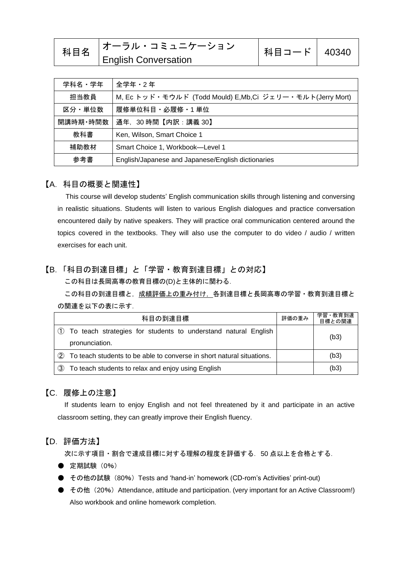| 科目名 | <b> オーラル・コミュニケーション</b>      | 科目コード   40340 |  |
|-----|-----------------------------|---------------|--|
|     | <b>English Conversation</b> |               |  |

| 学科名・学年   | 全学年 · 2年                                                 |  |
|----------|----------------------------------------------------------|--|
| 担当教員     | M, Ec トッド・モウルド (Todd Mould) E,Mb,Ci ジェリー・モルト(Jerry Mort) |  |
| 区分・単位数   | 履修単位科目 · 必履修 · 1 単位                                      |  |
| 開講時期・時間数 | 通年,30時間【内訳:講義 30】                                        |  |
| 教科書      | Ken, Wilson, Smart Choice 1                              |  |
| 補助教材     | Smart Choice 1, Workbook-Level 1                         |  |
| 参考書      | English/Japanese and Japanese/English dictionaries       |  |

### 【A.科目の概要と関連性】

This course will develop students' English communication skills through listening and conversing in realistic situations. Students will listen to various English dialogues and practice conversation encountered daily by native speakers. They will practice oral communication centered around the topics covered in the textbooks. They will also use the computer to do video / audio / written exercises for each unit.

## 【B.「科目の到達目標」と「学習・教育到達目標」との対応】

この科目は長岡高専の教育目標の(D)と主体的に関わる.

この科目の到達目標と,成績評価上の重み付け、各到達目標と長岡高専の学習・教育到達目標と の関連を以下の表に示す.

| 科目の到達目標        |                                                                       | 評価の重み | 学習·教育到達<br>目標との関連 |
|----------------|-----------------------------------------------------------------------|-------|-------------------|
| pronunciation. | $\Box$ To teach strategies for students to understand natural English |       | (b3)              |
| (2)            | To teach students to be able to converse in short natural situations. |       | (b3)              |
| $\circled{3}$  | To teach students to relax and enjoy using English                    |       | (b3)              |

### 【C.履修上の注意】

If students learn to enjoy English and not feel threatened by it and participate in an active classroom setting, they can greatly improve their English fluency.

### 【D.評価方法】

次に示す項目・割合で達成目標に対する理解の程度を評価する.50 点以上を合格とする.

- 定期試験 (0%)
- その他の試験 (80%) Tests and 'hand-in' homework (CD-rom's Activities' print-out)
- その他 (20%) Attendance, attitude and participation. (very important for an Active Classroom!) Also workbook and online homework completion.